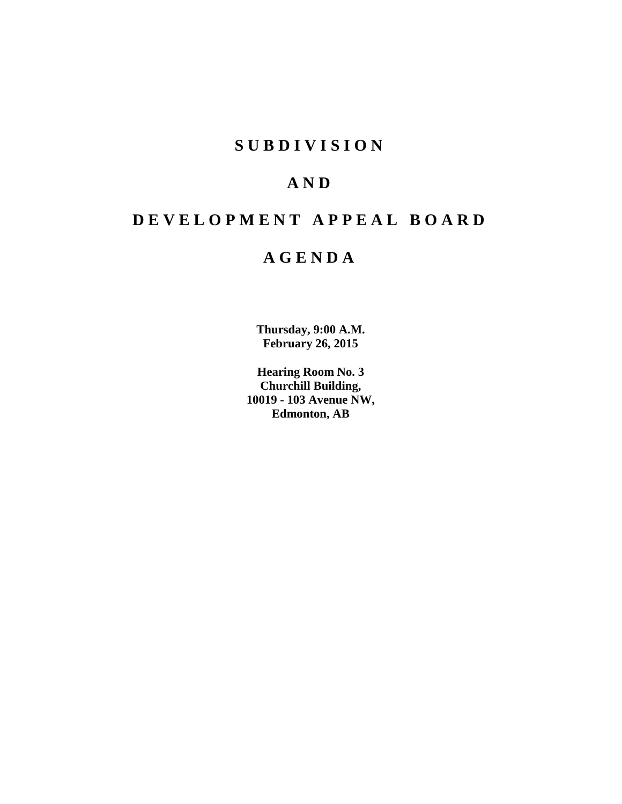# **S U B D I V I S I O N**

# **A N D**

# **D E V E L O P M E N T A P P E A L B O A R D**

# **A G E N D A**

**Thursday, 9:00 A.M. February 26, 2015**

**Hearing Room No. 3 Churchill Building, 10019 - 103 Avenue NW, Edmonton, AB**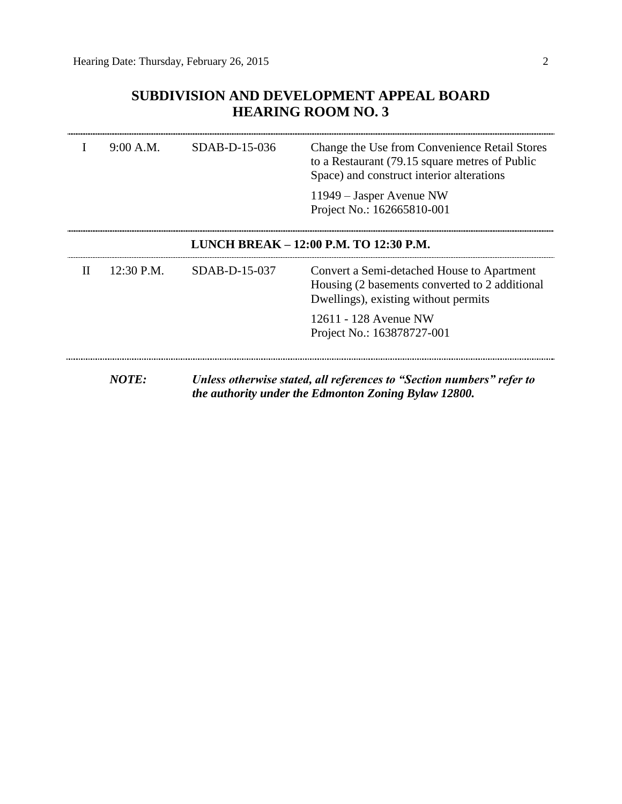### **SUBDIVISION AND DEVELOPMENT APPEAL BOARD HEARING ROOM NO. 3**

|   | 9:00 A.M.  | SDAB-D-15-036 | Change the Use from Convenience Retail Stores<br>to a Restaurant (79.15 square metres of Public<br>Space) and construct interior alterations<br>11949 – Jasper Avenue NW<br>Project No.: 162665810-001 |
|---|------------|---------------|--------------------------------------------------------------------------------------------------------------------------------------------------------------------------------------------------------|
|   |            |               | LUNCH BREAK - 12:00 P.M. TO 12:30 P.M.                                                                                                                                                                 |
| H | 12:30 P.M. | SDAB-D-15-037 | Convert a Semi-detached House to Apartment<br>Housing (2 basements converted to 2 additional<br>Dwellings), existing without permits                                                                   |
|   |            |               | 12611 - 128 Avenue NW<br>Project No.: 163878727-001                                                                                                                                                    |
|   | NOTE:      |               | Unless otherwise stated, all references to "Section numbers" refer to<br>the authority under the Edmonton Zoning Bylaw 12800.                                                                          |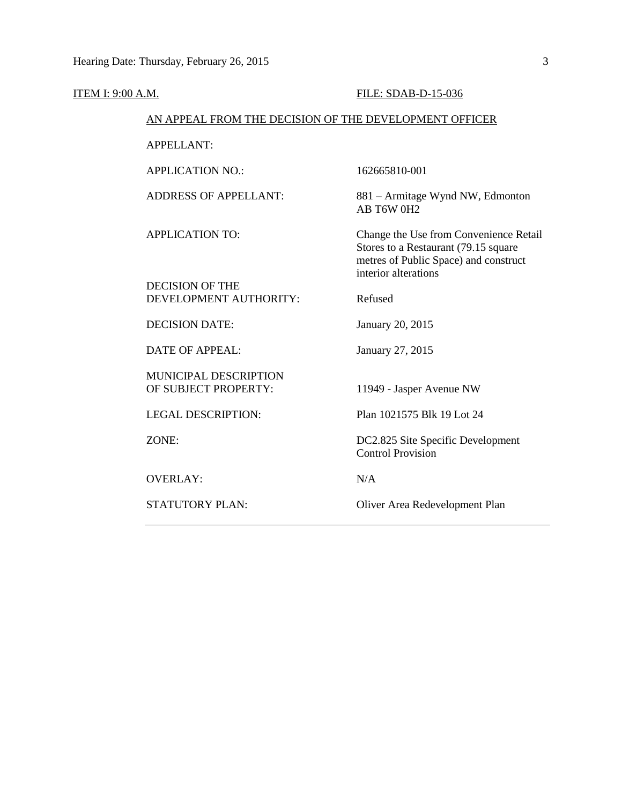| <b>ITEM I: 9:00 A.M.</b>                               | FILE: SDAB-D-15-036                                                                                                                             |
|--------------------------------------------------------|-------------------------------------------------------------------------------------------------------------------------------------------------|
| AN APPEAL FROM THE DECISION OF THE DEVELOPMENT OFFICER |                                                                                                                                                 |
| <b>APPELLANT:</b>                                      |                                                                                                                                                 |
| <b>APPLICATION NO.:</b>                                | 162665810-001                                                                                                                                   |
| <b>ADDRESS OF APPELLANT:</b>                           | 881 – Armitage Wynd NW, Edmonton<br>AB T6W 0H2                                                                                                  |
| <b>APPLICATION TO:</b>                                 | Change the Use from Convenience Retail<br>Stores to a Restaurant (79.15 square<br>metres of Public Space) and construct<br>interior alterations |
| <b>DECISION OF THE</b>                                 |                                                                                                                                                 |
| DEVELOPMENT AUTHORITY:                                 | Refused                                                                                                                                         |
| <b>DECISION DATE:</b>                                  | January 20, 2015                                                                                                                                |
| <b>DATE OF APPEAL:</b>                                 | January 27, 2015                                                                                                                                |
| MUNICIPAL DESCRIPTION<br>OF SUBJECT PROPERTY:          | 11949 - Jasper Avenue NW                                                                                                                        |
| <b>LEGAL DESCRIPTION:</b>                              | Plan 1021575 Blk 19 Lot 24                                                                                                                      |
| ZONE:                                                  | DC2.825 Site Specific Development<br><b>Control Provision</b>                                                                                   |
| <b>OVERLAY:</b>                                        | N/A                                                                                                                                             |
| STATUTORY PLAN:                                        | Oliver Area Redevelopment Plan                                                                                                                  |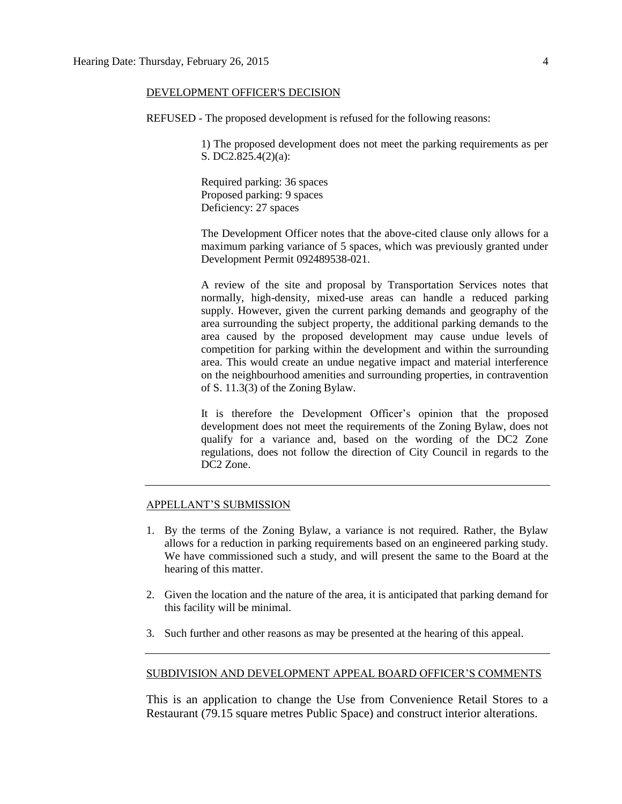#### DEVELOPMENT OFFICER'S DECISION

REFUSED - The proposed development is refused for the following reasons:

1) The proposed development does not meet the parking requirements as per S. DC2.825.4(2)(a):

Required parking: 36 spaces Proposed parking: 9 spaces Deficiency: 27 spaces

The Development Officer notes that the above-cited clause only allows for a maximum parking variance of 5 spaces, which was previously granted under Development Permit 092489538-021.

A review of the site and proposal by Transportation Services notes that normally, high-density, mixed-use areas can handle a reduced parking supply. However, given the current parking demands and geography of the area surrounding the subject property, the additional parking demands to the area caused by the proposed development may cause undue levels of competition for parking within the development and within the surrounding area. This would create an undue negative impact and material interference on the neighbourhood amenities and surrounding properties, in contravention of S. 11.3(3) of the Zoning Bylaw.

It is therefore the Development Officer's opinion that the proposed development does not meet the requirements of the Zoning Bylaw, does not qualify for a variance and, based on the wording of the DC2 Zone regulations, does not follow the direction of City Council in regards to the DC2 Zone.

#### APPELLANT'S SUBMISSION

- 1. By the terms of the Zoning Bylaw, a variance is not required. Rather, the Bylaw allows for a reduction in parking requirements based on an engineered parking study. We have commissioned such a study, and will present the same to the Board at the hearing of this matter.
- 2. Given the location and the nature of the area, it is anticipated that parking demand for this facility will be minimal.
- 3. Such further and other reasons as may be presented at the hearing of this appeal.

#### SUBDIVISION AND DEVELOPMENT APPEAL BOARD OFFICER'S COMMENTS

This is an application to change the Use from Convenience Retail Stores to a Restaurant (79.15 square metres Public Space) and construct interior alterations.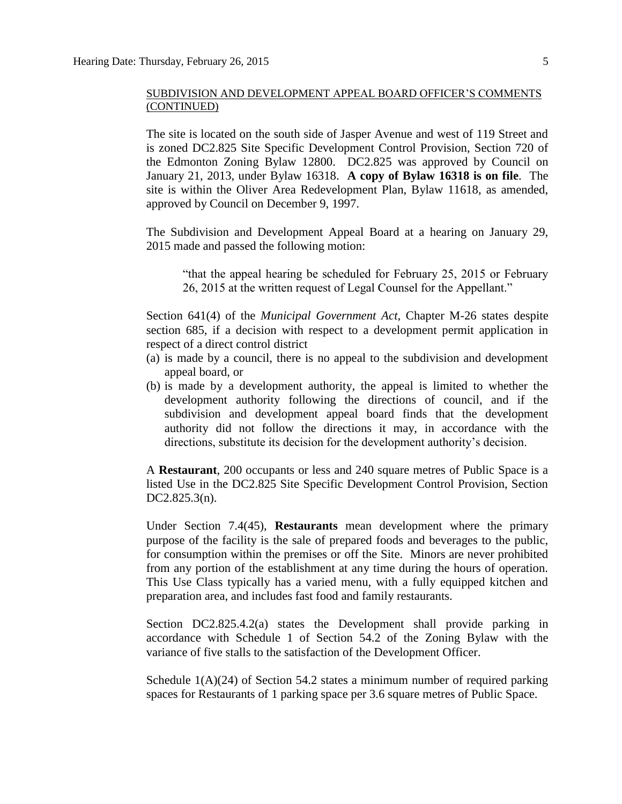The site is located on the south side of Jasper Avenue and west of 119 Street and is zoned DC2.825 Site Specific Development Control Provision, Section 720 of the Edmonton Zoning Bylaw 12800. DC2.825 was approved by Council on January 21, 2013, under Bylaw 16318. **A copy of Bylaw 16318 is on file**. The site is within the Oliver Area Redevelopment Plan, Bylaw 11618, as amended, approved by Council on December 9, 1997.

The Subdivision and Development Appeal Board at a hearing on January 29, 2015 made and passed the following motion:

"that the appeal hearing be scheduled for February 25, 2015 or February 26, 2015 at the written request of Legal Counsel for the Appellant."

Section 641(4) of the *Municipal Government Act*, Chapter M-26 states despite section 685, if a decision with respect to a development permit application in respect of a direct control district

- (a) is made by a council, there is no appeal to the subdivision and development appeal board, or
- (b) is made by a development authority, the appeal is limited to whether the development authority following the directions of council, and if the subdivision and development appeal board finds that the development authority did not follow the directions it may, in accordance with the directions, substitute its decision for the development authority's decision.

A **Restaurant**, 200 occupants or less and 240 square metres of Public Space is a listed Use in the DC2.825 Site Specific Development Control Provision, Section DC2.825.3(n).

Under Section 7.4(45), **Restaurants** mean development where the primary purpose of the facility is the sale of prepared foods and beverages to the public, for consumption within the premises or off the Site. Minors are never prohibited from any portion of the establishment at any time during the hours of operation. This Use Class typically has a varied menu, with a fully equipped kitchen and preparation area, and includes fast food and family restaurants.

Section DC2.825.4.2(a) states the Development shall provide parking in accordance with Schedule 1 of Section 54.2 of the Zoning Bylaw with the variance of five stalls to the satisfaction of the Development Officer.

Schedule  $1(A)(24)$  of Section 54.2 states a minimum number of required parking spaces for Restaurants of 1 parking space per 3.6 square metres of Public Space.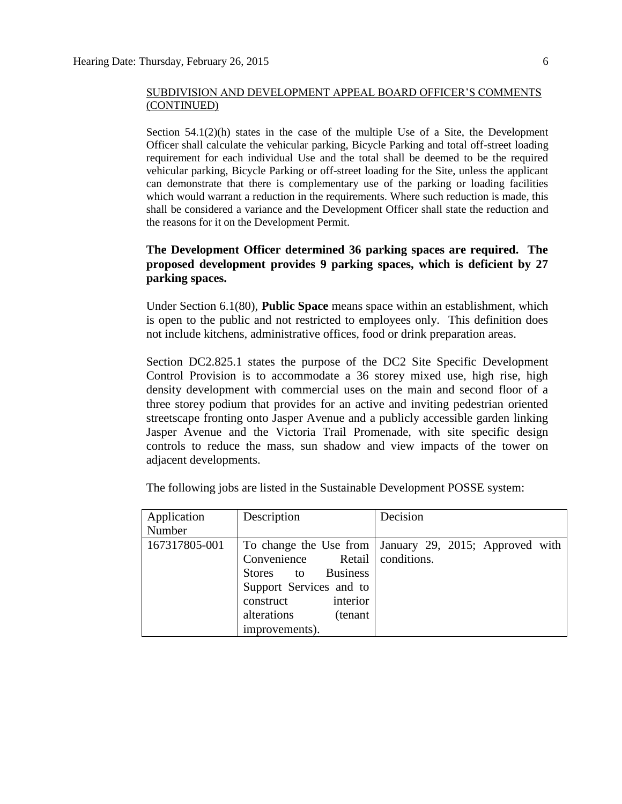Section  $54.1(2)(h)$  states in the case of the multiple Use of a Site, the Development Officer shall calculate the vehicular parking, Bicycle Parking and total off-street loading requirement for each individual Use and the total shall be deemed to be the required vehicular parking, Bicycle Parking or off-street loading for the Site, unless the applicant can demonstrate that there is complementary use of the parking or loading facilities which would warrant a reduction in the requirements. Where such reduction is made, this shall be considered a variance and the Development Officer shall state the reduction and the reasons for it on the Development Permit.

#### **The Development Officer determined 36 parking spaces are required. The proposed development provides 9 parking spaces, which is deficient by 27 parking spaces.**

Under Section 6.1(80), **Public Space** means space within an establishment, which is open to the public and not restricted to employees only. This definition does not include kitchens, administrative offices, food or drink preparation areas.

Section DC2.825.1 states the purpose of the DC2 Site Specific Development Control Provision is to accommodate a 36 storey mixed use, high rise, high density development with commercial uses on the main and second floor of a three storey podium that provides for an active and inviting pedestrian oriented streetscape fronting onto Jasper Avenue and a publicly accessible garden linking Jasper Avenue and the Victoria Trail Promenade, with site specific design controls to reduce the mass, sun shadow and view impacts of the tower on adjacent developments.

| Application   | Description                    | Decision                                                 |
|---------------|--------------------------------|----------------------------------------------------------|
| Number        |                                |                                                          |
| 167317805-001 |                                | To change the Use from   January 29, 2015; Approved with |
|               | Convenience Retail conditions. |                                                          |
|               | Stores to Business             |                                                          |
|               | Support Services and to        |                                                          |
|               | interior<br>construct          |                                                          |
|               | alterations<br>(tenant         |                                                          |
|               | improvements).                 |                                                          |

The following jobs are listed in the Sustainable Development POSSE system: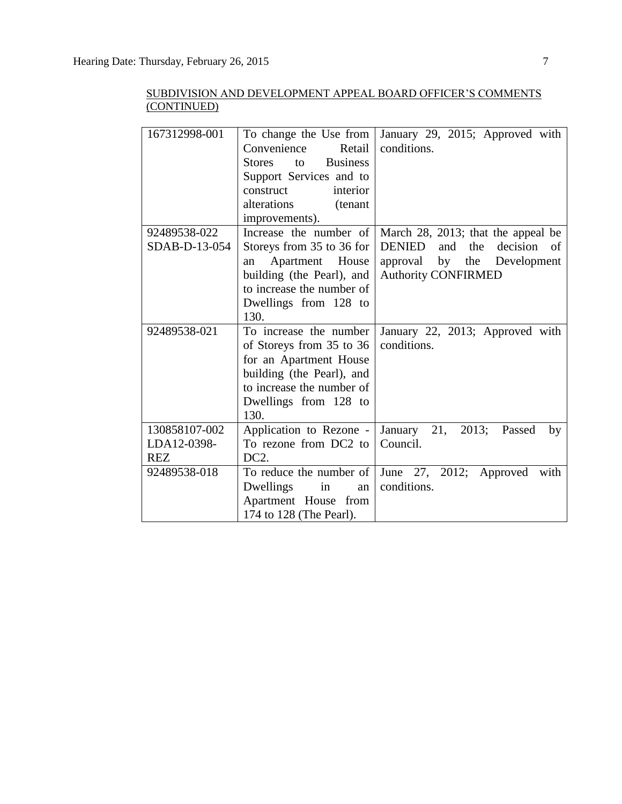| 167312998-001                              | To change the Use from<br>Convenience<br>Retail<br><b>Business</b><br><b>Stores</b><br>to<br>Support Services and to<br>interior<br>construct<br>alterations<br>(tenant<br>improvements). | January 29, 2015; Approved with<br>conditions.                                                                                            |
|--------------------------------------------|-------------------------------------------------------------------------------------------------------------------------------------------------------------------------------------------|-------------------------------------------------------------------------------------------------------------------------------------------|
| 92489538-022<br>SDAB-D-13-054              | Increase the number of<br>Storeys from 35 to 36 for<br>Apartment House<br>an<br>building (the Pearl), and<br>to increase the number of<br>Dwellings from 128 to<br>130.                   | March 28, 2013; that the appeal be<br>DENIED<br>and the<br>decision<br>of<br>approval by the<br>Development<br><b>Authority CONFIRMED</b> |
| 92489538-021                               | To increase the number<br>of Storeys from 35 to 36<br>for an Apartment House<br>building (the Pearl), and<br>to increase the number of<br>Dwellings from 128 to<br>130.                   | January 22, 2013; Approved with<br>conditions.                                                                                            |
| 130858107-002<br>LDA12-0398-<br><b>REZ</b> | Application to Rezone -<br>To rezone from DC2 to<br>DC <sub>2</sub> .                                                                                                                     | January 21, 2013; Passed<br>by<br>Council.                                                                                                |
| 92489538-018                               | To reduce the number of<br>Dwellings<br>in<br>an<br>Apartment House from<br>174 to 128 (The Pearl).                                                                                       | June 27, 2012; Approved<br>with<br>conditions.                                                                                            |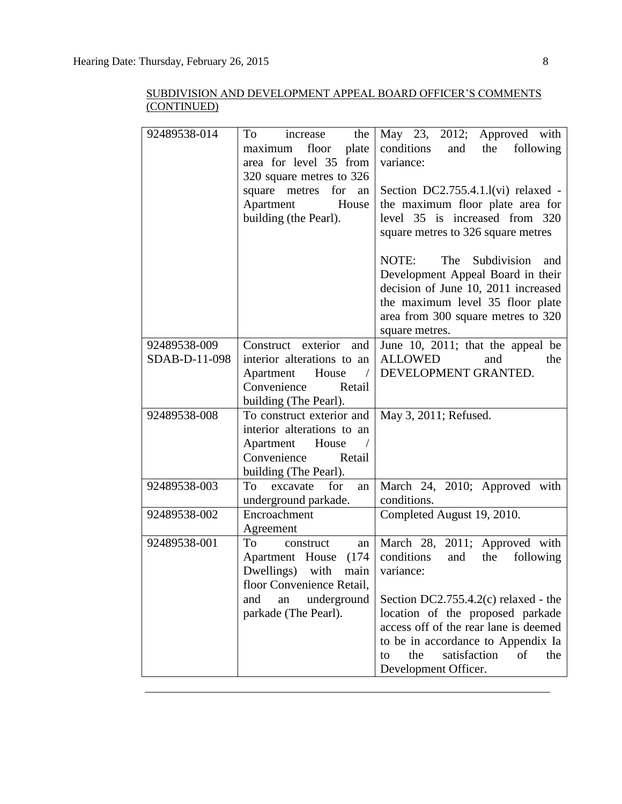| 92489538-014  | To<br>the<br>increase         | May 23, 2012; Approved with            |
|---------------|-------------------------------|----------------------------------------|
|               | floor<br>plate<br>maximum     | and the<br>conditions<br>following     |
|               | area for level 35 from        | variance:                              |
|               | 320 square metres to 326      |                                        |
|               | square<br>metres<br>for<br>an | Section DC2.755.4.1.1(vi) relaxed -    |
|               | Apartment<br>House            | the maximum floor plate area for       |
|               | building (the Pearl).         | level 35 is increased from 320         |
|               |                               |                                        |
|               |                               | square metres to 326 square metres     |
|               |                               | NOTE:<br>The<br>Subdivision<br>and     |
|               |                               | Development Appeal Board in their      |
|               |                               | decision of June 10, 2011 increased    |
|               |                               | the maximum level 35 floor plate       |
|               |                               |                                        |
|               |                               | area from 300 square metres to 320     |
|               |                               | square metres.                         |
| 92489538-009  | Construct exterior and        | June 10, 2011; that the appeal be      |
| SDAB-D-11-098 | interior alterations to an    | <b>ALLOWED</b><br>and<br>the           |
|               | Apartment<br>House            | DEVELOPMENT GRANTED.                   |
|               | Convenience<br>Retail         |                                        |
|               | building (The Pearl).         |                                        |
| 92489538-008  | To construct exterior and     | May 3, 2011; Refused.                  |
|               | interior alterations to an    |                                        |
|               | Apartment House               |                                        |
|               | Convenience<br>Retail         |                                        |
|               | building (The Pearl).         |                                        |
| 92489538-003  | excavate<br>To<br>for<br>an   | March 24, 2010; Approved with          |
|               | underground parkade.          | conditions.                            |
| 92489538-002  | Encroachment                  | Completed August 19, 2010.             |
|               | Agreement                     |                                        |
| 92489538-001  | To<br>construct<br>an         | March 28, 2011; Approved with          |
|               | Apartment House<br>(174)      | conditions<br>and<br>following<br>the  |
|               | Dwellings) with<br>main       | variance:                              |
|               | floor Convenience Retail,     |                                        |
|               | and<br>underground<br>an      | Section DC2.755.4.2(c) relaxed - the   |
|               | parkade (The Pearl).          | location of the proposed parkade       |
|               |                               | access off of the rear lane is deemed  |
|               |                               | to be in accordance to Appendix Ia     |
|               |                               | satisfaction<br>the<br>of<br>the<br>to |
|               |                               | Development Officer.                   |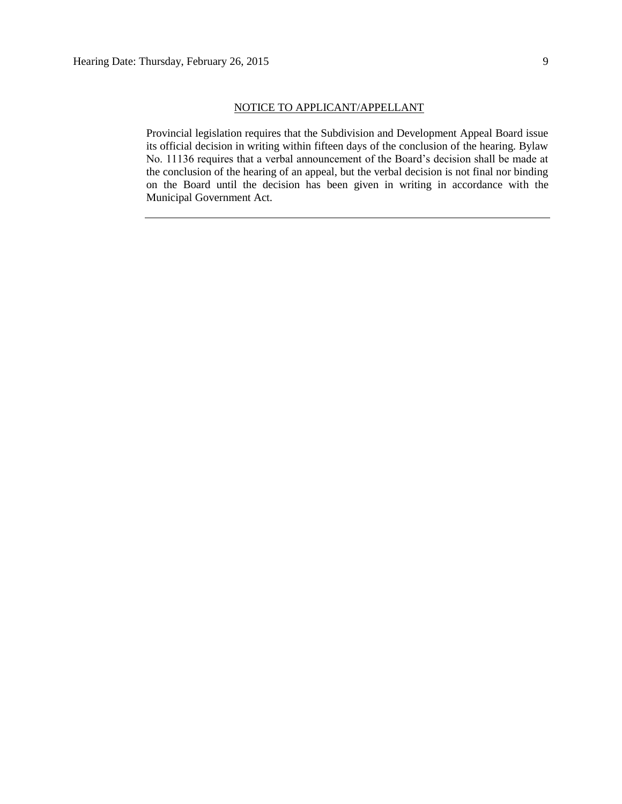Provincial legislation requires that the Subdivision and Development Appeal Board issue its official decision in writing within fifteen days of the conclusion of the hearing. Bylaw No. 11136 requires that a verbal announcement of the Board's decision shall be made at the conclusion of the hearing of an appeal, but the verbal decision is not final nor binding on the Board until the decision has been given in writing in accordance with the Municipal Government Act.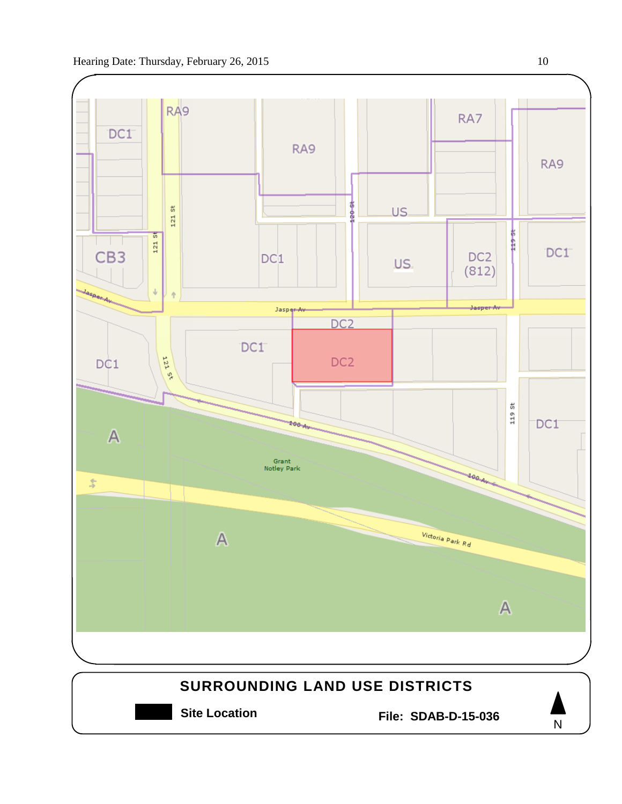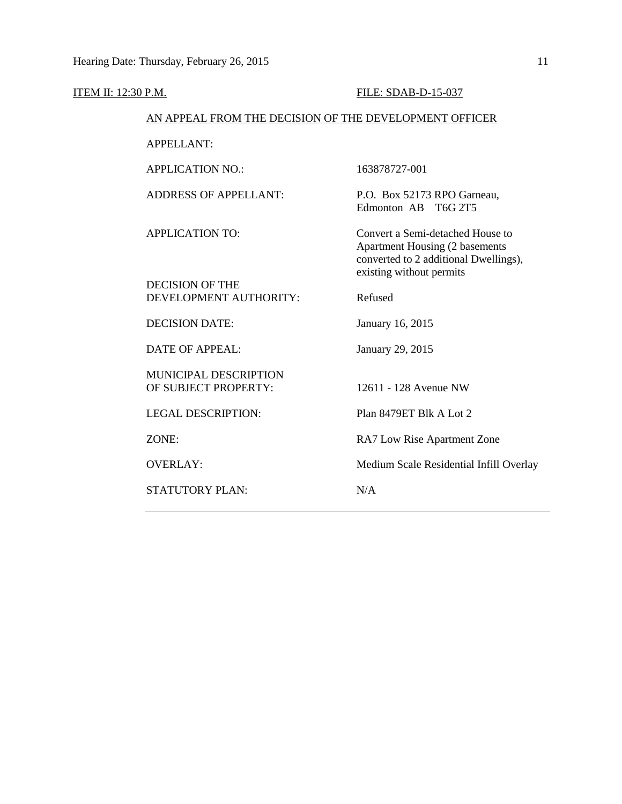| ITEM II: 12:30 P.M. |                                                        | FILE: SDAB-D-15-037                                                                                                                     |
|---------------------|--------------------------------------------------------|-----------------------------------------------------------------------------------------------------------------------------------------|
|                     | AN APPEAL FROM THE DECISION OF THE DEVELOPMENT OFFICER |                                                                                                                                         |
|                     | <b>APPELLANT:</b>                                      |                                                                                                                                         |
|                     | <b>APPLICATION NO.:</b>                                | 163878727-001                                                                                                                           |
|                     | <b>ADDRESS OF APPELLANT:</b>                           | P.O. Box 52173 RPO Garneau,<br>Edmonton AB T6G 2T5                                                                                      |
|                     | <b>APPLICATION TO:</b>                                 | Convert a Semi-detached House to<br>Apartment Housing (2 basements<br>converted to 2 additional Dwellings),<br>existing without permits |
|                     | <b>DECISION OF THE</b><br>DEVELOPMENT AUTHORITY:       | Refused                                                                                                                                 |
|                     | <b>DECISION DATE:</b>                                  | January 16, 2015                                                                                                                        |
|                     | <b>DATE OF APPEAL:</b>                                 | January 29, 2015                                                                                                                        |
|                     | MUNICIPAL DESCRIPTION<br>OF SUBJECT PROPERTY:          | 12611 - 128 Avenue NW                                                                                                                   |
|                     | <b>LEGAL DESCRIPTION:</b>                              | Plan 8479ET Blk A Lot 2                                                                                                                 |
|                     | ZONE:                                                  | RA7 Low Rise Apartment Zone                                                                                                             |
|                     | <b>OVERLAY:</b>                                        | Medium Scale Residential Infill Overlay                                                                                                 |
|                     | STATUTORY PLAN:                                        | N/A                                                                                                                                     |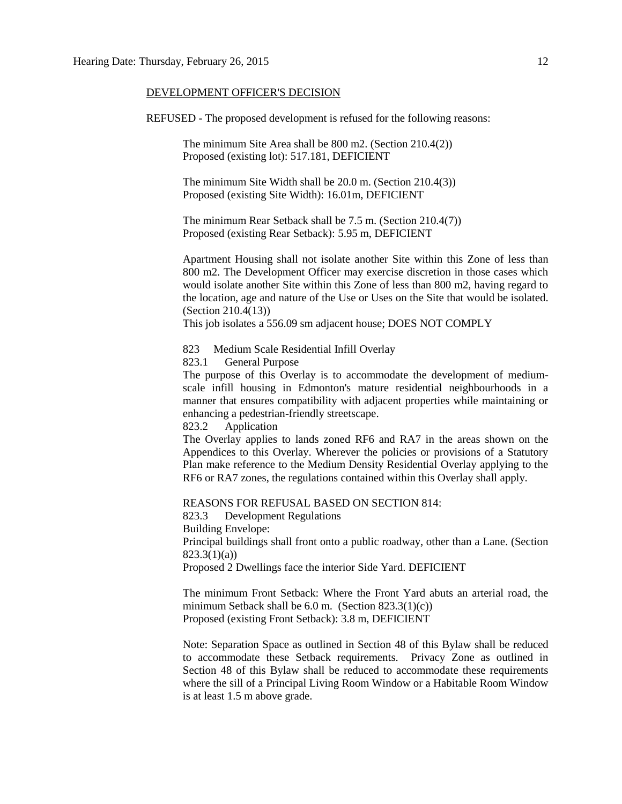#### DEVELOPMENT OFFICER'S DECISION

REFUSED - The proposed development is refused for the following reasons:

The minimum Site Area shall be 800 m2. (Section 210.4(2)) Proposed (existing lot): 517.181, DEFICIENT

The minimum Site Width shall be 20.0 m. (Section 210.4(3)) Proposed (existing Site Width): 16.01m, DEFICIENT

The minimum Rear Setback shall be 7.5 m. (Section 210.4(7)) Proposed (existing Rear Setback): 5.95 m, DEFICIENT

Apartment Housing shall not isolate another Site within this Zone of less than 800 m2. The Development Officer may exercise discretion in those cases which would isolate another Site within this Zone of less than 800 m2, having regard to the location, age and nature of the Use or Uses on the Site that would be isolated. (Section 210.4(13))

This job isolates a 556.09 sm adjacent house; DOES NOT COMPLY

823 Medium Scale Residential Infill Overlay

823.1 General Purpose

The purpose of this Overlay is to accommodate the development of mediumscale infill housing in Edmonton's mature residential neighbourhoods in a manner that ensures compatibility with adjacent properties while maintaining or enhancing a pedestrian-friendly streetscape.

823.2 Application

The Overlay applies to lands zoned RF6 and RA7 in the areas shown on the Appendices to this Overlay. Wherever the policies or provisions of a Statutory Plan make reference to the Medium Density Residential Overlay applying to the RF6 or RA7 zones, the regulations contained within this Overlay shall apply.

REASONS FOR REFUSAL BASED ON SECTION 814:

823.3 Development Regulations Building Envelope:

Principal buildings shall front onto a public roadway, other than a Lane. (Section 823.3(1)(a))

Proposed 2 Dwellings face the interior Side Yard. DEFICIENT

The minimum Front Setback: Where the Front Yard abuts an arterial road, the minimum Setback shall be  $6.0$  m. (Section  $823.3(1)(c)$ ) Proposed (existing Front Setback): 3.8 m, DEFICIENT

Note: Separation Space as outlined in Section 48 of this Bylaw shall be reduced to accommodate these Setback requirements. Privacy Zone as outlined in Section 48 of this Bylaw shall be reduced to accommodate these requirements where the sill of a Principal Living Room Window or a Habitable Room Window is at least 1.5 m above grade.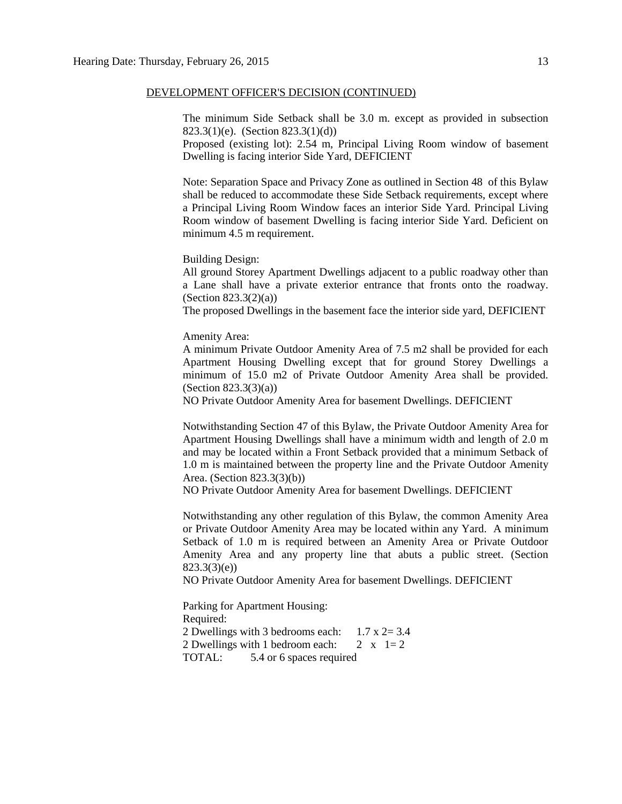#### DEVELOPMENT OFFICER'S DECISION (CONTINUED)

The minimum Side Setback shall be 3.0 m. except as provided in subsection 823.3(1)(e). (Section 823.3(1)(d))

Proposed (existing lot): 2.54 m, Principal Living Room window of basement Dwelling is facing interior Side Yard, DEFICIENT

Note: Separation Space and Privacy Zone as outlined in Section 48 of this Bylaw shall be reduced to accommodate these Side Setback requirements, except where a Principal Living Room Window faces an interior Side Yard. Principal Living Room window of basement Dwelling is facing interior Side Yard. Deficient on minimum 4.5 m requirement.

Building Design:

All ground Storey Apartment Dwellings adjacent to a public roadway other than a Lane shall have a private exterior entrance that fronts onto the roadway. (Section 823.3(2)(a))

The proposed Dwellings in the basement face the interior side yard, DEFICIENT

Amenity Area:

A minimum Private Outdoor Amenity Area of 7.5 m2 shall be provided for each Apartment Housing Dwelling except that for ground Storey Dwellings a minimum of 15.0 m2 of Private Outdoor Amenity Area shall be provided. (Section 823.3(3)(a))

NO Private Outdoor Amenity Area for basement Dwellings. DEFICIENT

Notwithstanding Section 47 of this Bylaw, the Private Outdoor Amenity Area for Apartment Housing Dwellings shall have a minimum width and length of 2.0 m and may be located within a Front Setback provided that a minimum Setback of 1.0 m is maintained between the property line and the Private Outdoor Amenity Area. (Section 823.3(3)(b))

NO Private Outdoor Amenity Area for basement Dwellings. DEFICIENT

Notwithstanding any other regulation of this Bylaw, the common Amenity Area or Private Outdoor Amenity Area may be located within any Yard. A minimum Setback of 1.0 m is required between an Amenity Area or Private Outdoor Amenity Area and any property line that abuts a public street. (Section 823.3(3)(e))

NO Private Outdoor Amenity Area for basement Dwellings. DEFICIENT

Parking for Apartment Housing: Required: 2 Dwellings with 3 bedrooms each:  $1.7 \times 2 = 3.4$ 2 Dwellings with 1 bedroom each:  $2 \times 1=2$ TOTAL: 5.4 or 6 spaces required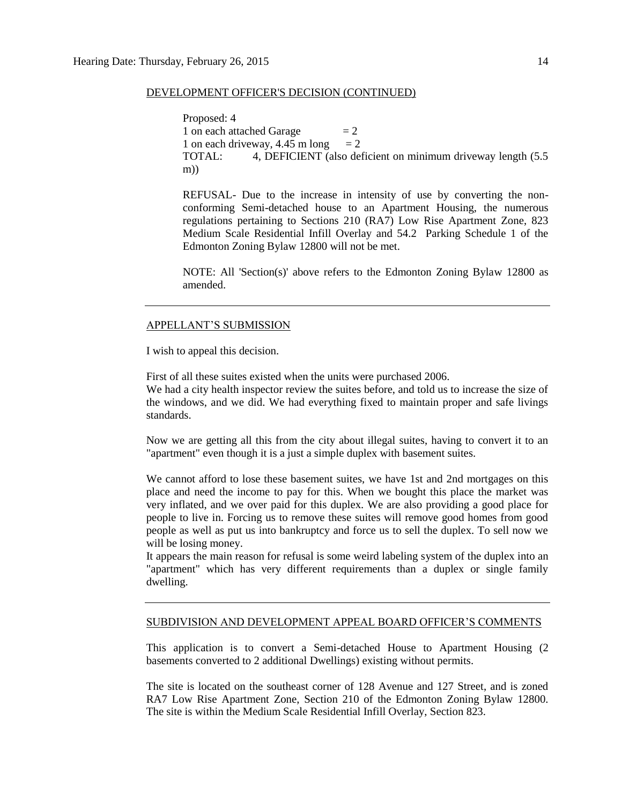#### DEVELOPMENT OFFICER'S DECISION (CONTINUED)

Proposed: 4 1 on each attached Garage  $= 2$ 1 on each driveway, 4.45 m long  $= 2$ TOTAL: 4, DEFICIENT (also deficient on minimum driveway length (5.5 m))

REFUSAL- Due to the increase in intensity of use by converting the nonconforming Semi-detached house to an Apartment Housing, the numerous regulations pertaining to Sections 210 (RA7) Low Rise Apartment Zone, 823 Medium Scale Residential Infill Overlay and 54.2 Parking Schedule 1 of the Edmonton Zoning Bylaw 12800 will not be met.

NOTE: All 'Section(s)' above refers to the Edmonton Zoning Bylaw 12800 as amended.

#### APPELLANT'S SUBMISSION

I wish to appeal this decision.

First of all these suites existed when the units were purchased 2006.

We had a city health inspector review the suites before, and told us to increase the size of the windows, and we did. We had everything fixed to maintain proper and safe livings standards.

Now we are getting all this from the city about illegal suites, having to convert it to an "apartment" even though it is a just a simple duplex with basement suites.

We cannot afford to lose these basement suites, we have 1st and 2nd mortgages on this place and need the income to pay for this. When we bought this place the market was very inflated, and we over paid for this duplex. We are also providing a good place for people to live in. Forcing us to remove these suites will remove good homes from good people as well as put us into bankruptcy and force us to sell the duplex. To sell now we will be losing money.

It appears the main reason for refusal is some weird labeling system of the duplex into an "apartment" which has very different requirements than a duplex or single family dwelling.

#### SUBDIVISION AND DEVELOPMENT APPEAL BOARD OFFICER'S COMMENTS

This application is to convert a Semi-detached House to Apartment Housing (2 basements converted to 2 additional Dwellings) existing without permits.

The site is located on the southeast corner of 128 Avenue and 127 Street, and is zoned RA7 Low Rise Apartment Zone, Section 210 of the Edmonton Zoning Bylaw 12800. The site is within the Medium Scale Residential Infill Overlay, Section 823.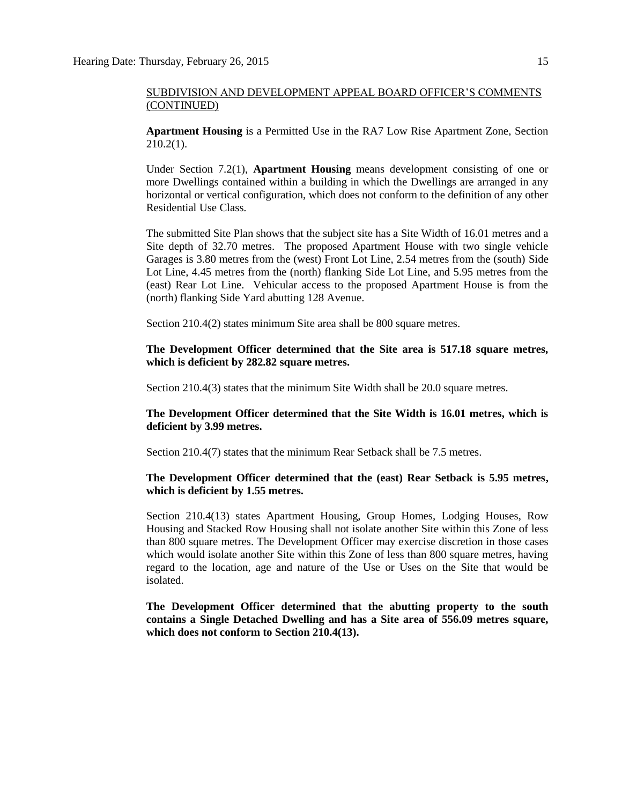**Apartment Housing** is a Permitted Use in the RA7 Low Rise Apartment Zone, Section 210.2(1).

Under Section 7.2(1), **Apartment Housing** means development consisting of one or more Dwellings contained within a building in which the Dwellings are arranged in any horizontal or vertical configuration, which does not conform to the definition of any other Residential Use Class.

The submitted Site Plan shows that the subject site has a Site Width of 16.01 metres and a Site depth of 32.70 metres. The proposed Apartment House with two single vehicle Garages is 3.80 metres from the (west) Front Lot Line, 2.54 metres from the (south) Side Lot Line, 4.45 metres from the (north) flanking Side Lot Line, and 5.95 metres from the (east) Rear Lot Line. Vehicular access to the proposed Apartment House is from the (north) flanking Side Yard abutting 128 Avenue.

Section 210.4(2) states minimum Site area shall be 800 square metres.

**The Development Officer determined that the Site area is 517.18 square metres, which is deficient by 282.82 square metres.**

Section 210.4(3) states that the minimum Site Width shall be 20.0 square metres.

**The Development Officer determined that the Site Width is 16.01 metres, which is deficient by 3.99 metres.**

Section 210.4(7) states that the minimum Rear Setback shall be 7.5 metres.

#### **The Development Officer determined that the (east) Rear Setback is 5.95 metres, which is deficient by 1.55 metres.**

Section 210.4(13) states Apartment Housing, Group Homes, Lodging Houses, Row Housing and Stacked Row Housing shall not isolate another Site within this Zone of less than 800 square metres. The Development Officer may exercise discretion in those cases which would isolate another Site within this Zone of less than 800 square metres, having regard to the location, age and nature of the Use or Uses on the Site that would be isolated.

**The Development Officer determined that the abutting property to the south contains a Single Detached Dwelling and has a Site area of 556.09 metres square, which does not conform to Section 210.4(13).**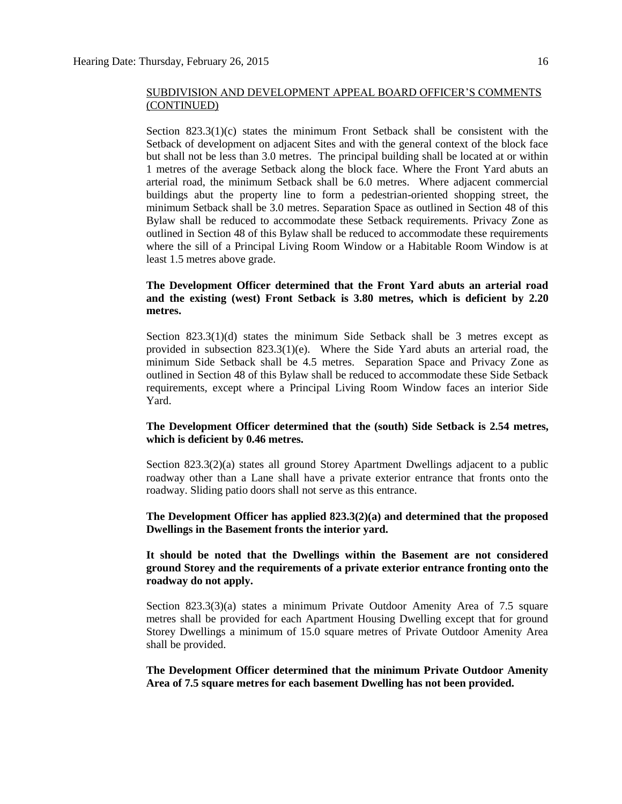Section  $823.3(1)(c)$  states the minimum Front Setback shall be consistent with the Setback of development on adjacent Sites and with the general context of the block face but shall not be less than 3.0 metres. The principal building shall be located at or within 1 metres of the average Setback along the block face. Where the Front Yard abuts an arterial road, the minimum Setback shall be 6.0 metres. Where adjacent commercial buildings abut the property line to form a pedestrian-oriented shopping street, the minimum Setback shall be 3.0 metres. Separation Space as outlined in Section 48 of this Bylaw shall be reduced to accommodate these Setback requirements. Privacy Zone as outlined in Section 48 of this Bylaw shall be reduced to accommodate these requirements where the sill of a Principal Living Room Window or a Habitable Room Window is at least 1.5 metres above grade.

#### **The Development Officer determined that the Front Yard abuts an arterial road and the existing (west) Front Setback is 3.80 metres, which is deficient by 2.20 metres.**

Section 823.3(1)(d) states the minimum Side Setback shall be 3 metres except as provided in subsection  $823.3(1)(e)$ . Where the Side Yard abuts an arterial road, the minimum Side Setback shall be 4.5 metres. Separation Space and Privacy Zone as outlined in Section 48 of this Bylaw shall be reduced to accommodate these Side Setback requirements, except where a Principal Living Room Window faces an interior Side Yard.

#### **The Development Officer determined that the (south) Side Setback is 2.54 metres, which is deficient by 0.46 metres.**

Section 823.3(2)(a) states all ground Storey Apartment Dwellings adjacent to a public roadway other than a Lane shall have a private exterior entrance that fronts onto the roadway. Sliding patio doors shall not serve as this entrance.

#### **The Development Officer has applied 823.3(2)(a) and determined that the proposed Dwellings in the Basement fronts the interior yard.**

#### **It should be noted that the Dwellings within the Basement are not considered ground Storey and the requirements of a private exterior entrance fronting onto the roadway do not apply.**

Section 823.3(3)(a) states a minimum Private Outdoor Amenity Area of 7.5 square metres shall be provided for each Apartment Housing Dwelling except that for ground Storey Dwellings a minimum of 15.0 square metres of Private Outdoor Amenity Area shall be provided.

**The Development Officer determined that the minimum Private Outdoor Amenity Area of 7.5 square metres for each basement Dwelling has not been provided.**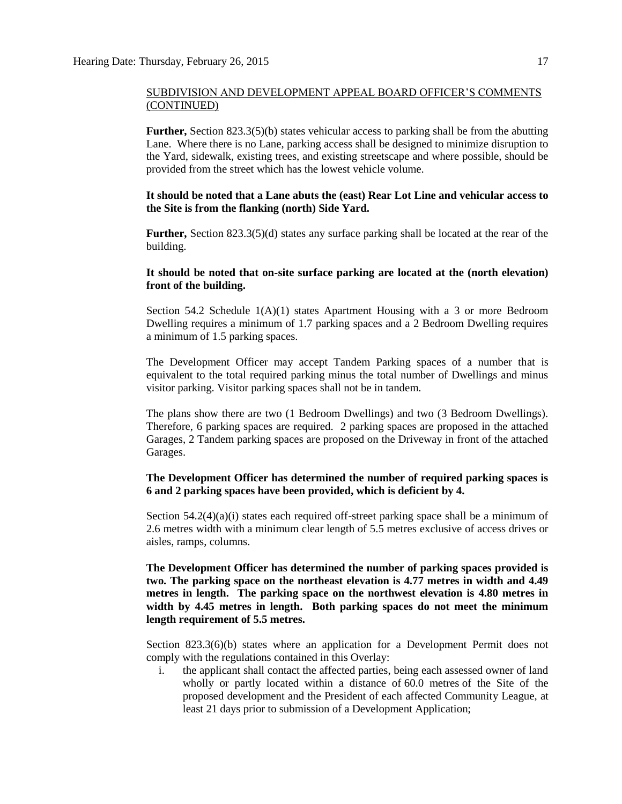**Further,** Section 823.3(5)(b) states vehicular access to parking shall be from the abutting Lane. Where there is no Lane, parking access shall be designed to minimize disruption to the Yard, sidewalk, existing trees, and existing streetscape and where possible, should be provided from the street which has the lowest vehicle volume.

**It should be noted that a Lane abuts the (east) Rear Lot Line and vehicular access to the Site is from the flanking (north) Side Yard.** 

**Further,** Section 823.3(5)(d) states any surface parking shall be located at the rear of the building.

#### **It should be noted that on-site surface parking are located at the (north elevation) front of the building.**

Section 54.2 Schedule  $1(A)(1)$  states Apartment Housing with a 3 or more Bedroom Dwelling requires a minimum of 1.7 parking spaces and a 2 Bedroom Dwelling requires a minimum of 1.5 parking spaces.

The Development Officer may accept Tandem Parking spaces of a number that is equivalent to the total required parking minus the total number of Dwellings and minus visitor parking. Visitor parking spaces shall not be in tandem.

The plans show there are two (1 Bedroom Dwellings) and two (3 Bedroom Dwellings). Therefore, 6 parking spaces are required. 2 parking spaces are proposed in the attached Garages, 2 Tandem parking spaces are proposed on the Driveway in front of the attached Garages.

#### **The Development Officer has determined the number of required parking spaces is 6 and 2 parking spaces have been provided, which is deficient by 4.**

Section  $54.2(4)(a)(i)$  states each required off-street parking space shall be a minimum of 2.6 metres width with a minimum clear length of 5.5 metres exclusive of access drives or aisles, ramps, columns.

**The Development Officer has determined the number of parking spaces provided is two. The parking space on the northeast elevation is 4.77 metres in width and 4.49 metres in length. The parking space on the northwest elevation is 4.80 metres in width by 4.45 metres in length. Both parking spaces do not meet the minimum length requirement of 5.5 metres.** 

Section 823.3(6)(b) states where an application for a Development Permit does not comply with the regulations contained in this Overlay:

i. the applicant shall contact the affected parties, being each assessed owner of land wholly or partly located within a distance of [60.0 me](javascript:void(0);)tres of the Site of the proposed development and the President of each affected Community League, at least 21 days prior to submission of a Development Application;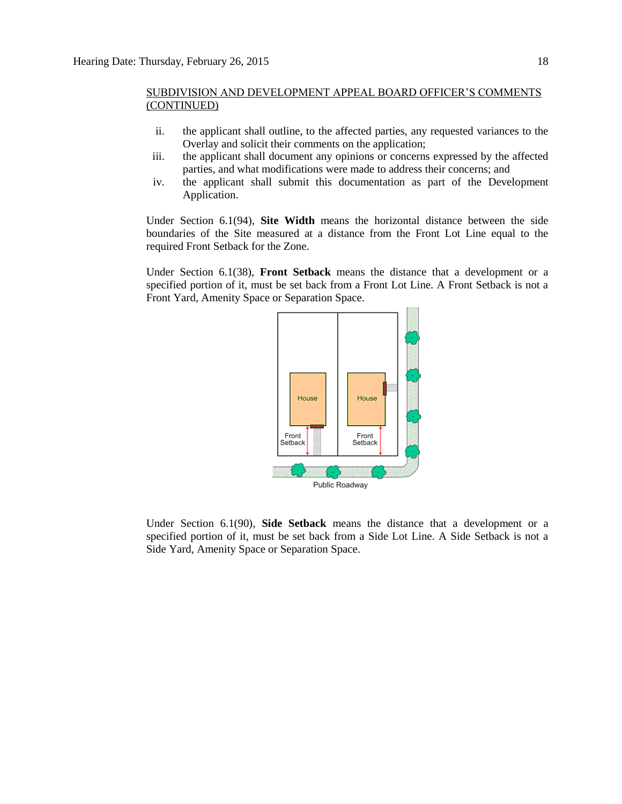- ii. the applicant shall outline, to the affected parties, any requested variances to the Overlay and solicit their comments on the application;
- iii. the applicant shall document any opinions or concerns expressed by the affected parties, and what modifications were made to address their concerns; and
- iv. the applicant shall submit this documentation as part of the Development Application.

Under Section 6.1(94), **Site Width** means the horizontal distance between the side boundaries of the Site measured at a distance from the Front Lot Line equal to the required Front Setback for the Zone.

Under Section 6.1(38), **Front Setback** means the distance that a development or a specified portion of it, must be set back from a Front Lot Line. A Front Setback is not a Front Yard, Amenity Space or Separation Space.



Under Section 6.1(90), **Side Setback** means the distance that a development or a specified portion of it, must be set back from a Side Lot Line. A Side Setback is not a Side Yard, Amenity Space or Separation Space.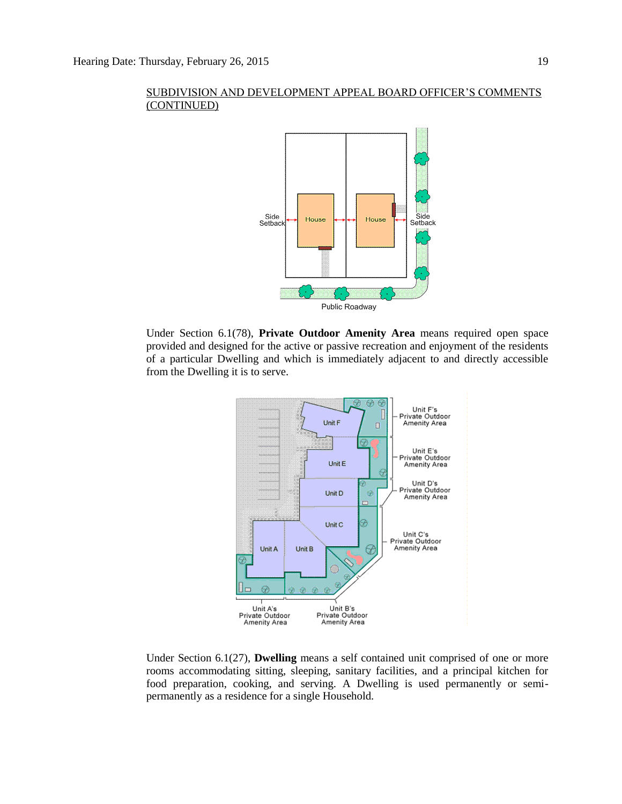

Under Section 6.1(78), **Private Outdoor Amenity Area** means required open space provided and designed for the active or passive recreation and enjoyment of the residents of a particular Dwelling and which is immediately adjacent to and directly accessible from the Dwelling it is to serve.



Under Section 6.1(27), **Dwelling** means a self contained unit comprised of one or more rooms accommodating sitting, sleeping, sanitary facilities, and a principal kitchen for food preparation, cooking, and serving. A Dwelling is used permanently or semipermanently as a residence for a single Household.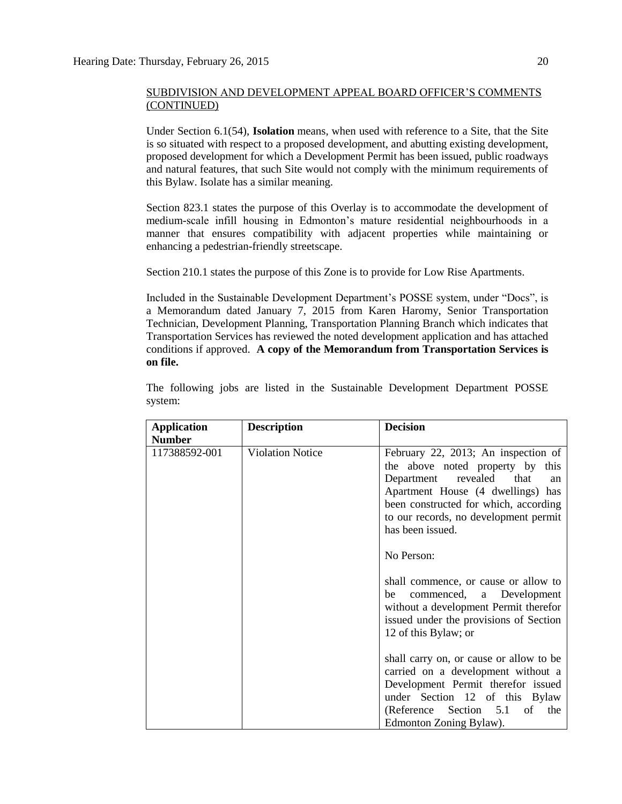Under Section 6.1(54), **Isolation** means, when used with reference to a Site, that the Site is so situated with respect to a proposed development, and abutting existing development, proposed development for which a Development Permit has been issued, public roadways and natural features, that such Site would not comply with the minimum requirements of this Bylaw. Isolate has a similar meaning.

Section 823.1 states the purpose of this Overlay is to accommodate the development of medium-scale infill housing in Edmonton's mature residential neighbourhoods in a manner that ensures compatibility with adjacent properties while maintaining or enhancing a pedestrian-friendly streetscape.

Section 210.1 states the purpose of this Zone is to provide for Low Rise Apartments.

Included in the Sustainable Development Department's POSSE system, under "Docs", is a Memorandum dated January 7, 2015 from Karen Haromy, Senior Transportation Technician, Development Planning, Transportation Planning Branch which indicates that Transportation Services has reviewed the noted development application and has attached conditions if approved. **A copy of the Memorandum from Transportation Services is on file.**

| <b>Application</b> | <b>Description</b>      | <b>Decision</b>                                                                                                                                                                                                                                                          |
|--------------------|-------------------------|--------------------------------------------------------------------------------------------------------------------------------------------------------------------------------------------------------------------------------------------------------------------------|
| <b>Number</b>      |                         |                                                                                                                                                                                                                                                                          |
| 117388592-001      | <b>Violation Notice</b> | February 22, 2013; An inspection of<br>the above noted property by<br>this<br>Department revealed<br>that<br>an<br>Apartment House (4 dwellings) has<br>been constructed for which, according<br>to our records, no development permit<br>has been issued.<br>No Person: |
|                    |                         | shall commence, or cause or allow to<br>commenced, a Development<br>be<br>without a development Permit therefor<br>issued under the provisions of Section<br>12 of this Bylaw; or                                                                                        |
|                    |                         | shall carry on, or cause or allow to be<br>carried on a development without a<br>Development Permit therefor issued<br>under Section 12 of this Bylaw<br>(Reference)<br>Section<br>of<br>5.1<br>the<br>Edmonton Zoning Bylaw).                                           |

The following jobs are listed in the Sustainable Development Department POSSE system: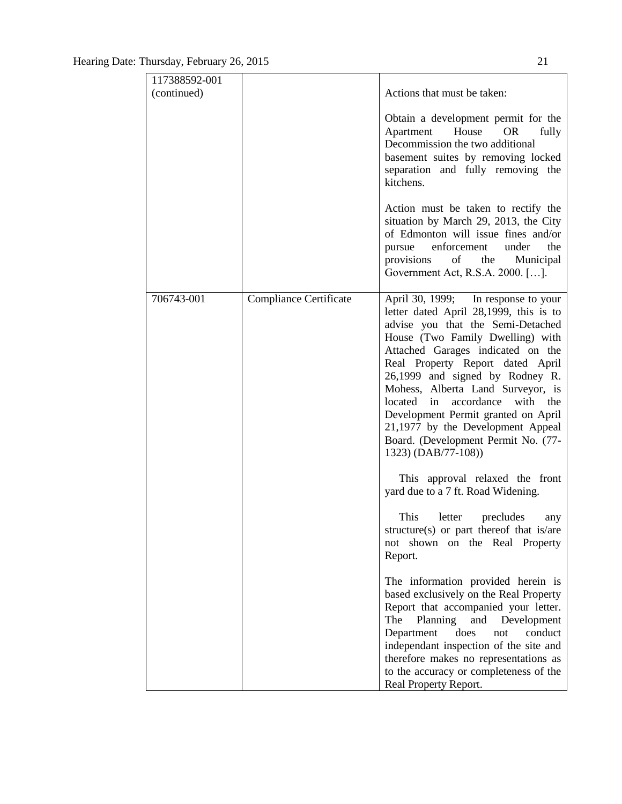| 117388592-001<br>(continued) |                               | Actions that must be taken:<br>Obtain a development permit for the<br>Apartment House<br>OR<br>fully<br>Decommission the two additional<br>basement suites by removing locked<br>separation and fully removing the<br>kitchens.<br>Action must be taken to rectify the<br>situation by March 29, 2013, the City<br>of Edmonton will issue fines and/or<br>enforcement<br>the<br>under<br>pursue                                                                                     |
|------------------------------|-------------------------------|-------------------------------------------------------------------------------------------------------------------------------------------------------------------------------------------------------------------------------------------------------------------------------------------------------------------------------------------------------------------------------------------------------------------------------------------------------------------------------------|
|                              |                               | provisions of the<br>Municipal<br>Government Act, R.S.A. 2000. [].                                                                                                                                                                                                                                                                                                                                                                                                                  |
| 706743-001                   | <b>Compliance Certificate</b> | April 30, 1999; In response to your<br>letter dated April 28,1999, this is to<br>advise you that the Semi-Detached<br>House (Two Family Dwelling) with<br>Attached Garages indicated on the<br>Real Property Report dated April<br>26,1999 and signed by Rodney R.<br>Mohess, Alberta Land Surveyor, is<br>located in accordance with the<br>Development Permit granted on April<br>21,1977 by the Development Appeal<br>Board. (Development Permit No. (77-<br>1323) (DAB/77-108)) |
|                              |                               | This approval relaxed the front<br>yard due to a 7 ft. Road Widening.<br>This letter precludes<br>any<br>structure(s) or part thereof that is/are<br>shown on the Real Property<br>not<br>Report.                                                                                                                                                                                                                                                                                   |
|                              |                               | The information provided herein is<br>based exclusively on the Real Property<br>Report that accompanied your letter.<br>The<br>Planning<br>and<br>Development<br>does<br>Department<br>conduct<br>not<br>independant inspection of the site and<br>therefore makes no representations as<br>to the accuracy or completeness of the<br>Real Property Report.                                                                                                                         |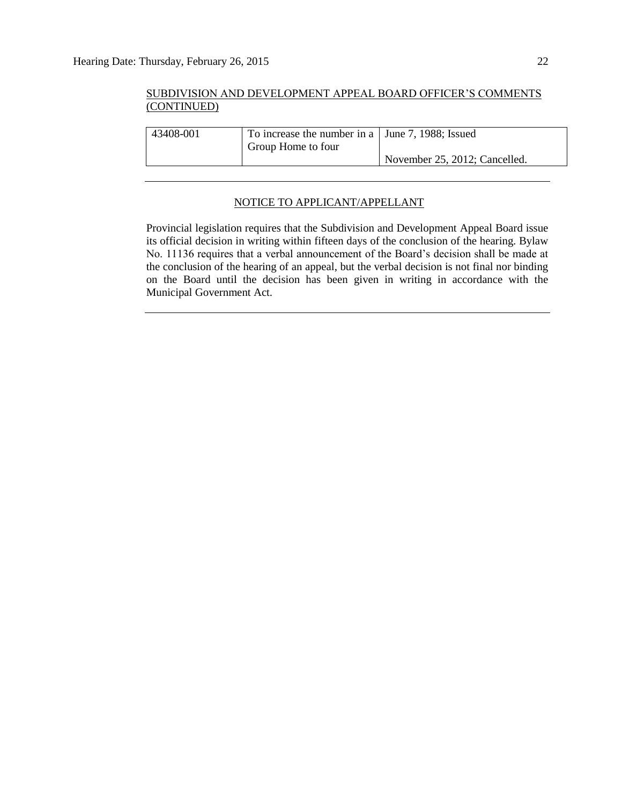| 43408-001 | To increase the number in a   June 7, 1988; Issued |                               |
|-----------|----------------------------------------------------|-------------------------------|
|           | Group Home to four                                 |                               |
|           |                                                    | November 25, 2012; Cancelled. |
|           |                                                    |                               |

#### NOTICE TO APPLICANT/APPELLANT

Provincial legislation requires that the Subdivision and Development Appeal Board issue its official decision in writing within fifteen days of the conclusion of the hearing. Bylaw No. 11136 requires that a verbal announcement of the Board's decision shall be made at the conclusion of the hearing of an appeal, but the verbal decision is not final nor binding on the Board until the decision has been given in writing in accordance with the Municipal Government Act.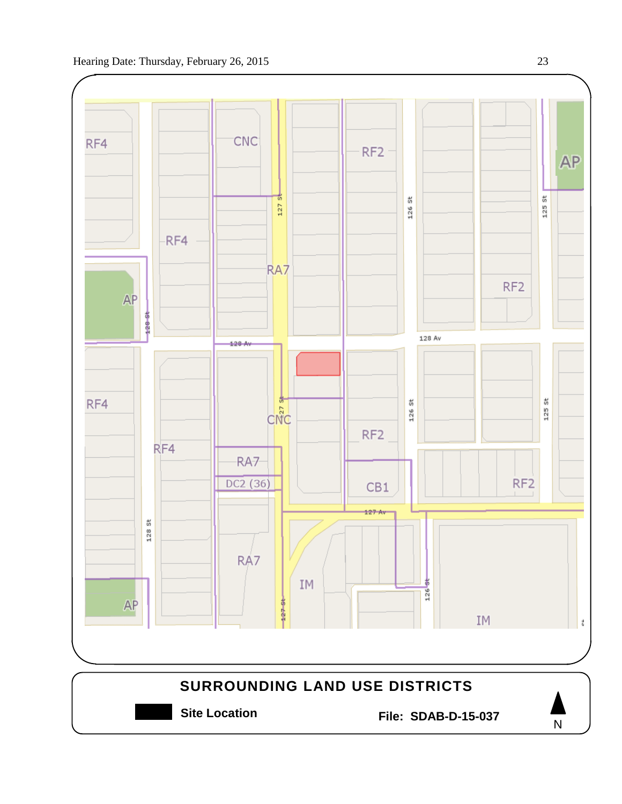